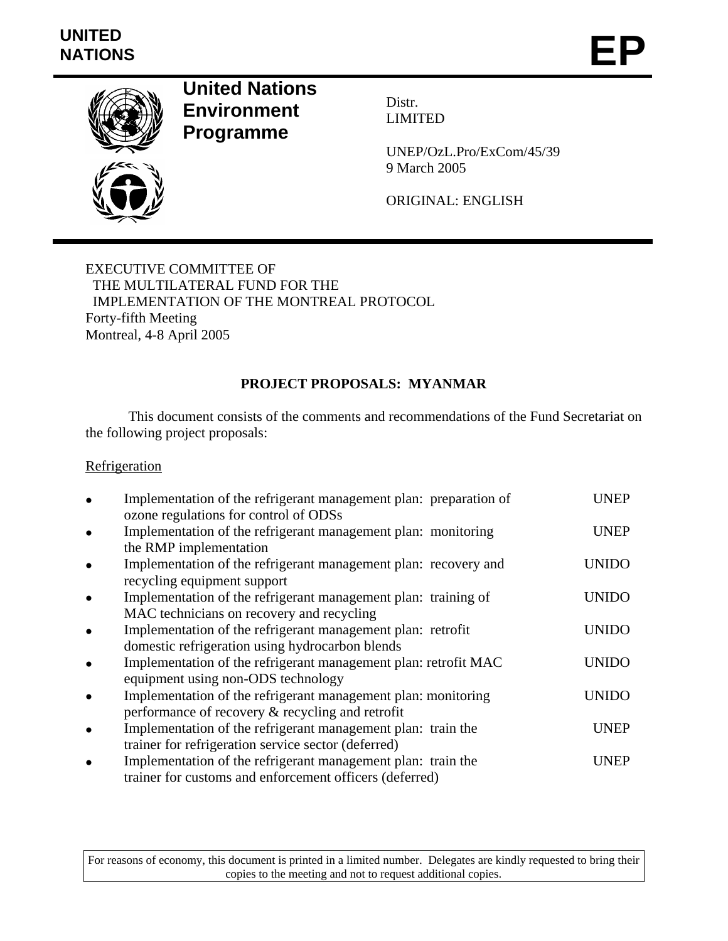# **UNITED**  UNITED<br>NATIONS **EP**



**United Nations Environment Programme** 

Distr. LIMITED

UNEP/OzL.Pro/ExCom/45/39 9 March 2005

ORIGINAL: ENGLISH

EXECUTIVE COMMITTEE OF THE MULTILATERAL FUND FOR THE IMPLEMENTATION OF THE MONTREAL PROTOCOL Forty-fifth Meeting Montreal, 4-8 April 2005

# **PROJECT PROPOSALS: MYANMAR**

 This document consists of the comments and recommendations of the Fund Secretariat on the following project proposals:

# **Refrigeration**

| Implementation of the refrigerant management plan: preparation of<br>ozone regulations for control of ODSs              | UNEP         |
|-------------------------------------------------------------------------------------------------------------------------|--------------|
| Implementation of the refrigerant management plan: monitoring                                                           | <b>UNEP</b>  |
| the RMP implementation<br>Implementation of the refrigerant management plan: recovery and                               | <b>UNIDO</b> |
| recycling equipment support<br>Implementation of the refrigerant management plan: training of                           | UNIDO        |
| MAC technicians on recovery and recycling<br>Implementation of the refrigerant management plan: retrofit                | <b>UNIDO</b> |
| domestic refrigeration using hydrocarbon blends<br>Implementation of the refrigerant management plan: retrofit MAC      | UNIDO        |
| equipment using non-ODS technology<br>Implementation of the refrigerant management plan: monitoring                     | UNIDO        |
| performance of recovery & recycling and retrofit<br>Implementation of the refrigerant management plan: train the        | <b>UNEP</b>  |
| trainer for refrigeration service sector (deferred)                                                                     |              |
| Implementation of the refrigerant management plan: train the<br>trainer for customs and enforcement officers (deferred) | <b>UNEP</b>  |

For reasons of economy, this document is printed in a limited number. Delegates are kindly requested to bring their copies to the meeting and not to request additional copies.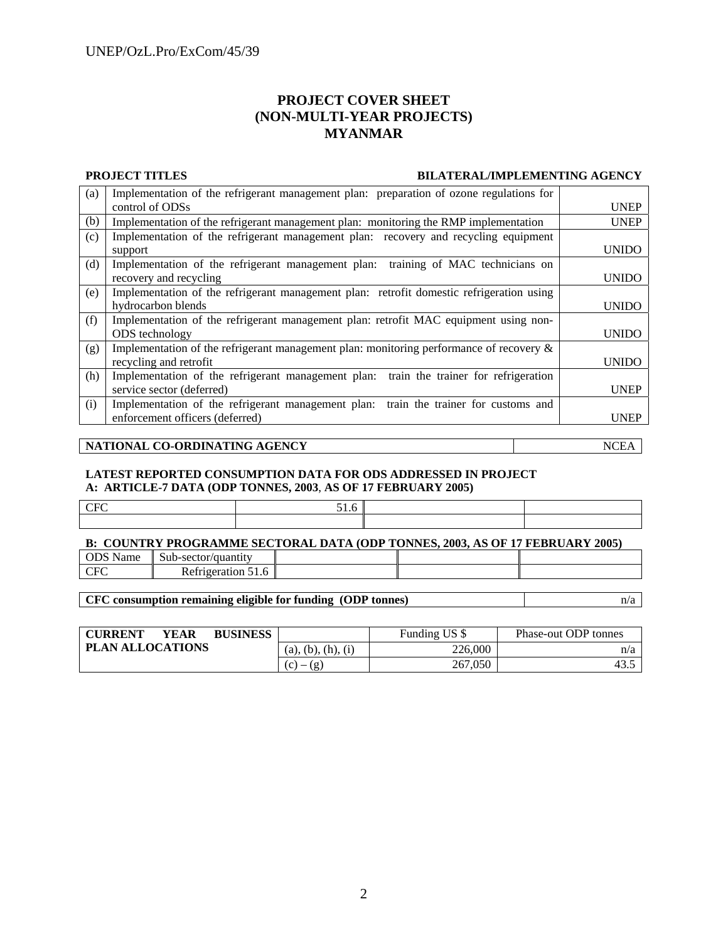# **PROJECT COVER SHEET (NON-MULTI-YEAR PROJECTS) MYANMAR**

#### **PROJECT TITLES BILATERAL/IMPLEMENTING AGENCY**

| (a) | Implementation of the refrigerant management plan: preparation of ozone regulations for    |              |  |  |
|-----|--------------------------------------------------------------------------------------------|--------------|--|--|
|     | control of ODSs                                                                            | <b>UNEP</b>  |  |  |
| (b) | Implementation of the refrigerant management plan: monitoring the RMP implementation       | <b>UNEP</b>  |  |  |
| (c) | Implementation of the refrigerant management plan: recovery and recycling equipment        |              |  |  |
|     | support                                                                                    | <b>UNIDO</b> |  |  |
| (d) | training of MAC technicians on<br>Implementation of the refrigerant management plan:       |              |  |  |
|     | recovery and recycling                                                                     | <b>UNIDO</b> |  |  |
| (e) | Implementation of the refrigerant management plan: retrofit domestic refrigeration using   |              |  |  |
|     | hydrocarbon blends                                                                         | <b>UNIDO</b> |  |  |
| (f) | Implementation of the refrigerant management plan: retrofit MAC equipment using non-       |              |  |  |
|     | ODS technology                                                                             | <b>UNIDO</b> |  |  |
| (g) | Implementation of the refrigerant management plan: monitoring performance of recovery $\&$ |              |  |  |
|     | recycling and retrofit                                                                     | <b>UNIDO</b> |  |  |
| (h) | Implementation of the refrigerant management plan: train the trainer for refrigeration     |              |  |  |
|     | service sector (deferred)                                                                  | <b>UNEP</b>  |  |  |
| (i) | Implementation of the refrigerant management plan: train the trainer for customs and       |              |  |  |
|     | enforcement officers (deferred)                                                            | <b>UNEP</b>  |  |  |
|     |                                                                                            |              |  |  |

### **NATIONAL CO-ORDINATING AGENCY** NCEA

#### **LATEST REPORTED CONSUMPTION DATA FOR ODS ADDRESSED IN PROJECT A: ARTICLE-7 DATA (ODP TONNES, 2003**, **AS OF 17 FEBRUARY 2005)**

### **B: COUNTRY PROGRAMME SECTORAL DATA (ODP TONNES, 2003, AS OF 17 FEBRUARY 2005)**

| -----<br>vame | $\sim$<br>$\alpha$<br>. SUD-SEI<br>ີ |  |  |
|---------------|--------------------------------------|--|--|
| $\sim$<br>ັ   | $\sim$<br>                           |  |  |

**CFC consumption remaining eligible for funding (ODP tonnes)** n/a

| <b>CURRENT</b>          | YEAR | <b>BUSINESS</b> |                    | Funding US \$ | Phase-out ODP tonnes |
|-------------------------|------|-----------------|--------------------|---------------|----------------------|
| <b>PLAN ALLOCATIONS</b> |      |                 | (a), (b), (h), (i) | 226.000       | n/a                  |
|                         |      |                 | (c)<br>(g          | 267,050       | 43.                  |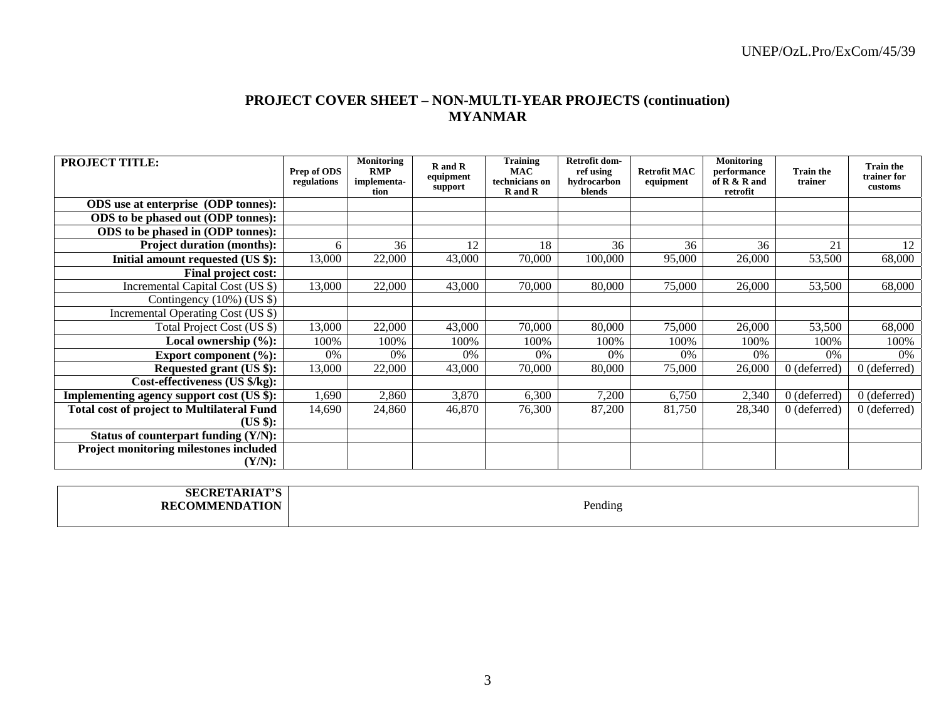# **PROJECT COVER SHEET – NON-MULTI-YEAR PROJECTS (continuation) MYANMAR**

| <b>PROJECT TITLE:</b>                             | Prep of ODS<br>regulations | <b>Monitoring</b><br><b>RMP</b><br>implementa-<br>tion | R and R<br>equipment<br>support | <b>Training</b><br><b>MAC</b><br>technicians on<br>R and R | Retrofit dom-<br>ref using<br>hydrocarbon<br>blends | <b>Retrofit MAC</b><br>equipment | <b>Monitoring</b><br>performance<br>of $R & R$ and<br>retrofit | <b>Train the</b><br>trainer | <b>Train the</b><br>trainer for<br>customs |
|---------------------------------------------------|----------------------------|--------------------------------------------------------|---------------------------------|------------------------------------------------------------|-----------------------------------------------------|----------------------------------|----------------------------------------------------------------|-----------------------------|--------------------------------------------|
| <b>ODS</b> use at enterprise (ODP tonnes):        |                            |                                                        |                                 |                                                            |                                                     |                                  |                                                                |                             |                                            |
| ODS to be phased out (ODP tonnes):                |                            |                                                        |                                 |                                                            |                                                     |                                  |                                                                |                             |                                            |
| ODS to be phased in (ODP tonnes):                 |                            |                                                        |                                 |                                                            |                                                     |                                  |                                                                |                             |                                            |
| <b>Project duration (months):</b>                 | 6                          | 36                                                     | 12                              | 18                                                         | 36                                                  | 36                               | 36                                                             | 21                          | 12                                         |
| Initial amount requested (US \$):                 | 13,000                     | 22,000                                                 | 43,000                          | 70,000                                                     | 100,000                                             | 95,000                           | 26,000                                                         | 53,500                      | 68,000                                     |
| Final project cost:                               |                            |                                                        |                                 |                                                            |                                                     |                                  |                                                                |                             |                                            |
| Incremental Capital Cost (US \$)                  | 13,000                     | 22,000                                                 | 43,000                          | 70,000                                                     | 80,000                                              | 75,000                           | 26,000                                                         | 53,500                      | 68,000                                     |
| Contingency $(10\%)$ (US \$)                      |                            |                                                        |                                 |                                                            |                                                     |                                  |                                                                |                             |                                            |
| Incremental Operating Cost (US \$)                |                            |                                                        |                                 |                                                            |                                                     |                                  |                                                                |                             |                                            |
| Total Project Cost (US \$)                        | 13,000                     | 22,000                                                 | 43,000                          | 70,000                                                     | 80,000                                              | 75,000                           | 26,000                                                         | 53,500                      | 68,000                                     |
| Local ownership $(\%):$                           | 100%                       | 100%                                                   | 100%                            | 100%                                                       | 100%                                                | 100%                             | 100%                                                           | 100%                        | 100%                                       |
| Export component $(\%):$                          | 0%                         | $0\%$                                                  | 0%                              | 0%                                                         | 0%                                                  | $0\%$                            | $0\%$                                                          | 0%                          | $0\%$                                      |
| Requested grant (US \$):                          | 13,000                     | 22,000                                                 | 43,000                          | 70,000                                                     | 80,000                                              | 75,000                           | 26,000                                                         | $0$ (deferred)              | $0$ (deferred)                             |
| Cost-effectiveness (US \$/kg):                    |                            |                                                        |                                 |                                                            |                                                     |                                  |                                                                |                             |                                            |
| Implementing agency support cost (US \$):         | 1,690                      | 2,860                                                  | 3,870                           | 6,300                                                      | 7,200                                               | 6,750                            | 2,340                                                          | $0$ (deferred)              | $0$ (deferred)                             |
| <b>Total cost of project to Multilateral Fund</b> | 14,690                     | 24,860                                                 | 46,870                          | 76,300                                                     | 87,200                                              | 81,750                           | 28,340                                                         | $0$ (deferred)              | $0$ (deferred)                             |
| (US \$):                                          |                            |                                                        |                                 |                                                            |                                                     |                                  |                                                                |                             |                                            |
| Status of counterpart funding (Y/N):              |                            |                                                        |                                 |                                                            |                                                     |                                  |                                                                |                             |                                            |
| Project monitoring milestones included<br>(Y/N):  |                            |                                                        |                                 |                                                            |                                                     |                                  |                                                                |                             |                                            |

| A DEA THA<br>SEC.<br>:KI               |         |
|----------------------------------------|---------|
| <b>ATION</b><br>AD MINIE<br><b>KEL</b> | Pending |
|                                        |         |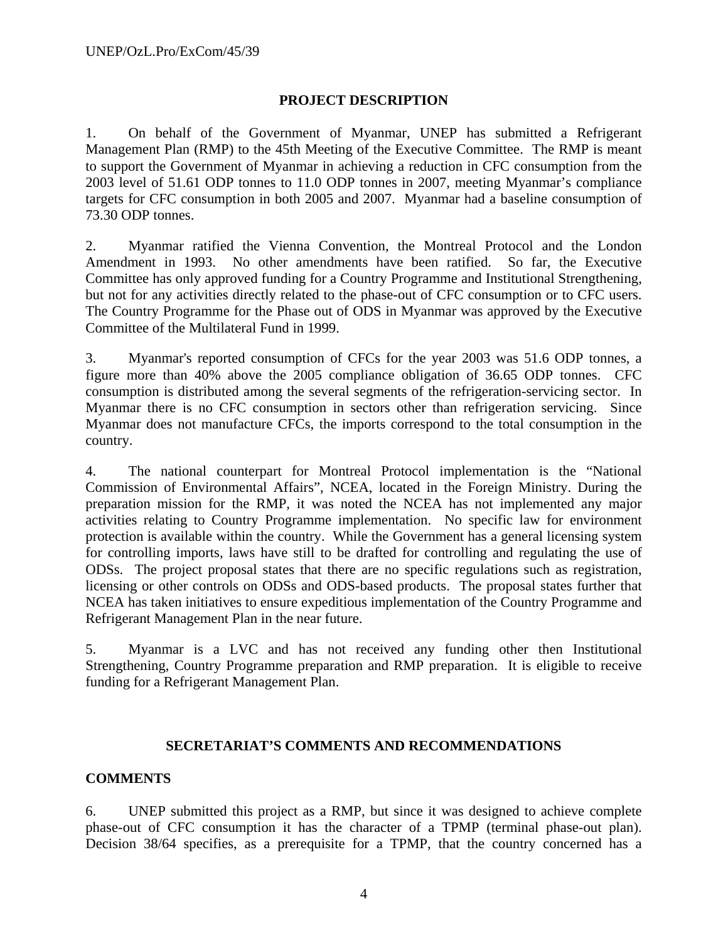# **PROJECT DESCRIPTION**

1. On behalf of the Government of Myanmar, UNEP has submitted a Refrigerant Management Plan (RMP) to the 45th Meeting of the Executive Committee. The RMP is meant to support the Government of Myanmar in achieving a reduction in CFC consumption from the 2003 level of 51.61 ODP tonnes to 11.0 ODP tonnes in 2007, meeting Myanmar's compliance targets for CFC consumption in both 2005 and 2007. Myanmar had a baseline consumption of 73.30 ODP tonnes.

2. Myanmar ratified the Vienna Convention, the Montreal Protocol and the London Amendment in 1993. No other amendments have been ratified. So far, the Executive Committee has only approved funding for a Country Programme and Institutional Strengthening, but not for any activities directly related to the phase-out of CFC consumption or to CFC users. The Country Programme for the Phase out of ODS in Myanmar was approved by the Executive Committee of the Multilateral Fund in 1999.

3. Myanmar's reported consumption of CFCs for the year 2003 was 51.6 ODP tonnes, a figure more than 40% above the 2005 compliance obligation of 36.65 ODP tonnes. CFC consumption is distributed among the several segments of the refrigeration-servicing sector. In Myanmar there is no CFC consumption in sectors other than refrigeration servicing. Since Myanmar does not manufacture CFCs, the imports correspond to the total consumption in the country.

4. The national counterpart for Montreal Protocol implementation is the "National Commission of Environmental Affairs", NCEA, located in the Foreign Ministry. During the preparation mission for the RMP, it was noted the NCEA has not implemented any major activities relating to Country Programme implementation. No specific law for environment protection is available within the country. While the Government has a general licensing system for controlling imports, laws have still to be drafted for controlling and regulating the use of ODSs. The project proposal states that there are no specific regulations such as registration, licensing or other controls on ODSs and ODS-based products. The proposal states further that NCEA has taken initiatives to ensure expeditious implementation of the Country Programme and Refrigerant Management Plan in the near future.

5. Myanmar is a LVC and has not received any funding other then Institutional Strengthening, Country Programme preparation and RMP preparation. It is eligible to receive funding for a Refrigerant Management Plan.

## **SECRETARIAT'S COMMENTS AND RECOMMENDATIONS**

# **COMMENTS**

6. UNEP submitted this project as a RMP, but since it was designed to achieve complete phase-out of CFC consumption it has the character of a TPMP (terminal phase-out plan). Decision 38/64 specifies, as a prerequisite for a TPMP, that the country concerned has a